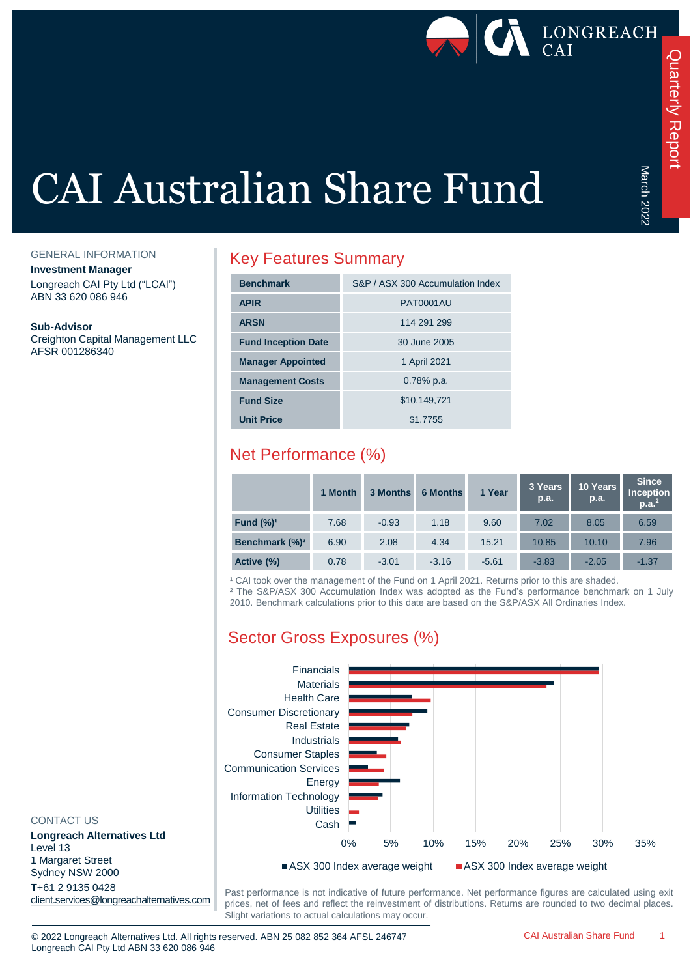

March 2022

March 2022

# CAI Australian Share Fund

GENERAL INFORMATION

**Investment Manager** Longreach CAI Pty Ltd ("LCAI") ABN 33 620 086 946

**Sub-Advisor**

Creighton Capital Management LLC AFSR 001286340

### Key Features Summary

| <b>Benchmark</b>           | S&P / ASX 300 Accumulation Index |
|----------------------------|----------------------------------|
| <b>APIR</b>                | <b>PAT0001AU</b>                 |
| <b>ARSN</b>                | 114 291 299                      |
| <b>Fund Inception Date</b> | 30 June 2005                     |
| <b>Manager Appointed</b>   | 1 April 2021                     |
| <b>Management Costs</b>    | $0.78\%$ p.a.                    |
| <b>Fund Size</b>           | \$10,149,721                     |
| <b>Unit Price</b>          | \$1.7755                         |

## Net Performance (%)

|                            | 1 Month | 3 Months | <b>6 Months</b> | 1 Year  | 3 Years<br>p.a. | 10 Years<br>p.a. | <b>Since</b><br><b>Inception</b><br>p.a. <sup>2</sup> |
|----------------------------|---------|----------|-----------------|---------|-----------------|------------------|-------------------------------------------------------|
| Fund $(\%)^1$              | 7.68    | $-0.93$  | 1.18            | 9.60    | 7.02            | 8.05             | 6.59                                                  |
| Benchmark (%) <sup>2</sup> | 6.90    | 2.08     | 4.34            | 15.21   | 10.85           | 10.10            | 7.96                                                  |
| Active (%)                 | 0.78    | $-3.01$  | $-3.16$         | $-5.61$ | $-3.83$         | $-2.05$          | $-1.37$                                               |

<sup>1</sup> CAI took over the management of the Fund on 1 April 2021. Returns prior to this are shaded.

² The S&P/ASX 300 Accumulation Index was adopted as the Fund's performance benchmark on 1 July 2010. Benchmark calculations prior to this date are based on the S&P/ASX All Ordinaries Index.

## Sector Gross Exposures (%)



#### CONTACT US

**Longreach Alternatives Ltd** Level 13 1 Margaret Street Sydney NSW 2000 **T**+61 2 9135 0428 [client.services@longreachalternatives.com](mailto:client.services@longreachalternatives.com)

Past performance is not indicative of future performance. Net performance figures are calculated using exit prices, net of fees and reflect the reinvestment of distributions. Returns are rounded to two decimal places. Slight variations to actual calculations may occur.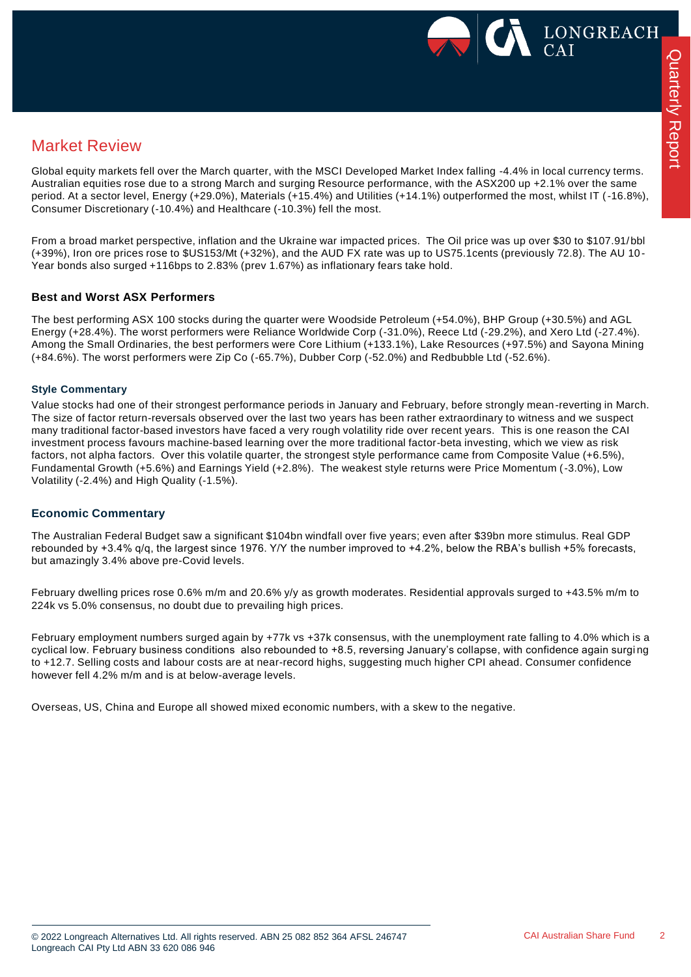

## Market Review

Global equity markets fell over the March quarter, with the MSCI Developed Market Index falling -4.4% in local currency terms. Australian equities rose due to a strong March and surging Resource performance, with the ASX200 up +2.1% over the same period. At a sector level, Energy (+29.0%), Materials (+15.4%) and Utilities (+14.1%) outperformed the most, whilst IT (-16.8%), Consumer Discretionary (-10.4%) and Healthcare (-10.3%) fell the most.

From a broad market perspective, inflation and the Ukraine war impacted prices. The Oil price was up over \$30 to \$107.91/bbl (+39%), Iron ore prices rose to \$US153/Mt (+32%), and the AUD FX rate was up to US75.1cents (previously 72.8). The AU 10 - Year bonds also surged +116bps to 2.83% (prev 1.67%) as inflationary fears take hold.

#### **Best and Worst ASX Performers**

The best performing ASX 100 stocks during the quarter were Woodside Petroleum (+54.0%), BHP Group (+30.5%) and AGL Energy (+28.4%). The worst performers were Reliance Worldwide Corp (-31.0%), Reece Ltd (-29.2%), and Xero Ltd (-27.4%). Among the Small Ordinaries, the best performers were Core Lithium (+133.1%), Lake Resources (+97.5%) and Sayona Mining (+84.6%). The worst performers were Zip Co (-65.7%), Dubber Corp (-52.0%) and Redbubble Ltd (-52.6%).

#### **Style Commentary**

Value stocks had one of their strongest performance periods in January and February, before strongly mean-reverting in March. The size of factor return-reversals observed over the last two years has been rather extraordinary to witness and we suspect many traditional factor-based investors have faced a very rough volatility ride over recent years. This is one reason the CAI investment process favours machine-based learning over the more traditional factor-beta investing, which we view as risk factors, not alpha factors. Over this volatile quarter, the strongest style performance came from Composite Value (+6.5%), Fundamental Growth (+5.6%) and Earnings Yield (+2.8%). The weakest style returns were Price Momentum (-3.0%), Low Volatility (-2.4%) and High Quality (-1.5%).

#### **Economic Commentary**

The Australian Federal Budget saw a significant \$104bn windfall over five years; even after \$39bn more stimulus. Real GDP rebounded by +3.4% q/q, the largest since 1976. Y/Y the number improved to +4.2%, below the RBA's bullish +5% forecasts, but amazingly 3.4% above pre-Covid levels.

February dwelling prices rose 0.6% m/m and 20.6% y/y as growth moderates. Residential approvals surged to +43.5% m/m to 224k vs 5.0% consensus, no doubt due to prevailing high prices.

February employment numbers surged again by +77k vs +37k consensus, with the unemployment rate falling to 4.0% which is a cyclical low. February business conditions also rebounded to +8.5, reversing January's collapse, with confidence again surging to +12.7. Selling costs and labour costs are at near-record highs, suggesting much higher CPI ahead. Consumer confidence however fell 4.2% m/m and is at below-average levels.

Overseas, US, China and Europe all showed mixed economic numbers, with a skew to the negative.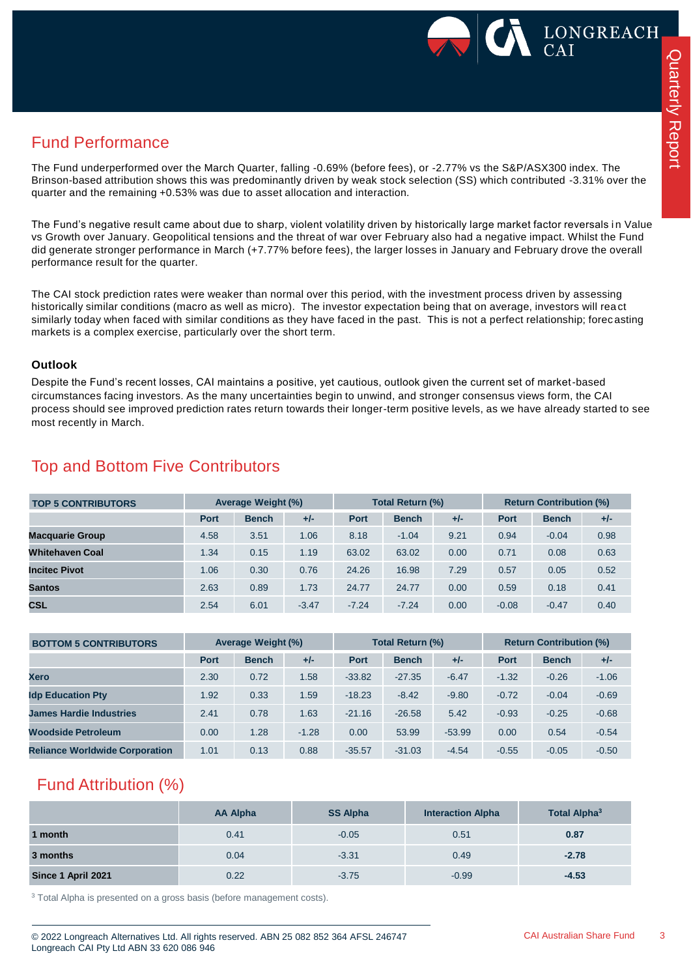

## Fund Performance

The Fund underperformed over the March Quarter, falling -0.69% (before fees), or -2.77% vs the S&P/ASX300 index. The Brinson-based attribution shows this was predominantly driven by weak stock selection (SS) which contributed -3.31% over the quarter and the remaining +0.53% was due to asset allocation and interaction.

The Fund's negative result came about due to sharp, violent volatility driven by historically large market factor reversals in Value vs Growth over January. Geopolitical tensions and the threat of war over February also had a negative impact. Whilst the Fund did generate stronger performance in March (+7.77% before fees), the larger losses in January and February drove the overall performance result for the quarter.

The CAI stock prediction rates were weaker than normal over this period, with the investment process driven by assessing historically similar conditions (macro as well as micro). The investor expectation being that on average, investors will rea ct similarly today when faced with similar conditions as they have faced in the past. This is not a perfect relationship; forec asting markets is a complex exercise, particularly over the short term.

#### **Outlook**

Despite the Fund's recent losses, CAI maintains a positive, yet cautious, outlook given the current set of market-based circumstances facing investors. As the many uncertainties begin to unwind, and stronger consensus views form, the CAI process should see improved prediction rates return towards their longer-term positive levels, as we have already started to see most recently in March.

| <b>TOP 5 CONTRIBUTORS</b> | <b>Average Weight (%)</b> |              | Total Return (%) |             |              | <b>Return Contribution (%)</b> |             |              |       |
|---------------------------|---------------------------|--------------|------------------|-------------|--------------|--------------------------------|-------------|--------------|-------|
|                           | <b>Port</b>               | <b>Bench</b> | $+/-$            | <b>Port</b> | <b>Bench</b> | $+/-$                          | <b>Port</b> | <b>Bench</b> | $+/-$ |
| <b>Macquarie Group</b>    | 4.58                      | 3.51         | 1.06             | 8.18        | $-1.04$      | 9.21                           | 0.94        | $-0.04$      | 0.98  |
| <b>Whitehaven Coal</b>    | 1.34                      | 0.15         | 1.19             | 63.02       | 63.02        | 0.00                           | 0.71        | 0.08         | 0.63  |
| <b>Incitec Pivot</b>      | 1.06                      | 0.30         | 0.76             | 24.26       | 16.98        | 7.29                           | 0.57        | 0.05         | 0.52  |
| <b>Santos</b>             | 2.63                      | 0.89         | 1.73             | 24.77       | 24.77        | 0.00                           | 0.59        | 0.18         | 0.41  |
| <b>CSL</b>                | 2.54                      | 6.01         | $-3.47$          | $-7.24$     | $-7.24$      | 0.00                           | $-0.08$     | $-0.47$      | 0.40  |

## Top and Bottom Five Contributors

| <b>BOTTOM 5 CONTRIBUTORS</b>          | <b>Average Weight (%)</b> |              | <b>Total Return (%)</b> |             |              | <b>Return Contribution (%)</b> |             |              |         |
|---------------------------------------|---------------------------|--------------|-------------------------|-------------|--------------|--------------------------------|-------------|--------------|---------|
|                                       | <b>Port</b>               | <b>Bench</b> | $+/-$                   | <b>Port</b> | <b>Bench</b> | $+/-$                          | <b>Port</b> | <b>Bench</b> | $+/-$   |
| <b>Xero</b>                           | 2.30                      | 0.72         | 1.58                    | $-33.82$    | $-27.35$     | $-6.47$                        | $-1.32$     | $-0.26$      | $-1.06$ |
| <b>Idp Education Pty</b>              | 1.92                      | 0.33         | 1.59                    | $-18.23$    | $-8.42$      | $-9.80$                        | $-0.72$     | $-0.04$      | $-0.69$ |
| <b>James Hardie Industries</b>        | 2.41                      | 0.78         | 1.63                    | $-21.16$    | $-26.58$     | 5.42                           | $-0.93$     | $-0.25$      | $-0.68$ |
| Woodside Petroleum                    | 0.00                      | 1.28         | $-1.28$                 | 0.00        | 53.99        | $-53.99$                       | 0.00        | 0.54         | $-0.54$ |
| <b>Reliance Worldwide Corporation</b> | 1.01                      | 0.13         | 0.88                    | $-35.57$    | $-31.03$     | $-4.54$                        | $-0.55$     | $-0.05$      | $-0.50$ |

## Fund Attribution (%)

|                    | AA Alpha | <b>SS Alpha</b> | <b>Interaction Alpha</b> | <b>Total Alpha<sup>3</sup></b> |
|--------------------|----------|-----------------|--------------------------|--------------------------------|
| 1 month            | 0.41     | $-0.05$         | 0.51                     | 0.87                           |
| 3 months           | 0.04     | $-3.31$         | 0.49                     | $-2.78$                        |
| Since 1 April 2021 | 0.22     | $-3.75$         | $-0.99$                  | $-4.53$                        |

<sup>3</sup> Total Alpha is presented on a gross basis (before management costs).